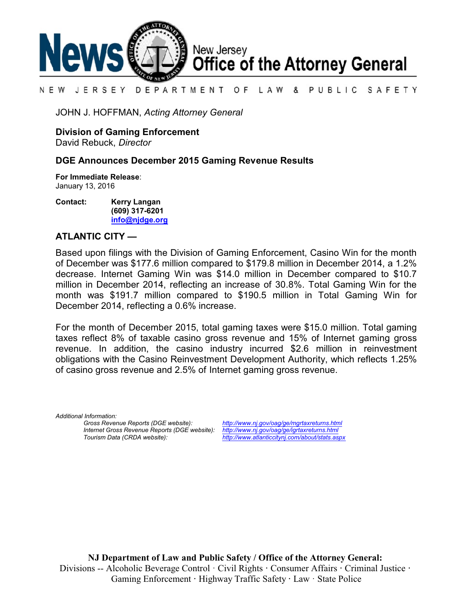

### N E W JERSEY DEPARTMENT OF LAW & PUBLIC SAFETY

JOHN J. HOFFMAN, *Acting Attorney General*

**Division of Gaming Enforcement**

David Rebuck, *Director*

## **DGE Announces December 2015 Gaming Revenue Results**

**For Immediate Release**: January 13, 2016

**Contact: Kerry Langan (609) 317-6201 [info@njdge.org](file:///|//info@njdge.org)**

# **ATLANTIC CITY —**

Based upon filings with the Division of Gaming Enforcement, Casino Win for the month of December was \$177.6 million compared to \$179.8 million in December 2014, a 1.2% decrease. Internet Gaming Win was \$14.0 million in December compared to \$10.7 million in December 2014, reflecting an increase of 30.8%. Total Gaming Win for the month was \$191.7 million compared to \$190.5 million in Total Gaming Win for December 2014, reflecting a 0.6% increase.

For the month of December 2015, total gaming taxes were \$15.0 million. Total gaming taxes reflect 8% of taxable casino gross revenue and 15% of Internet gaming gross revenue. In addition, the casino industry incurred \$2.6 million in reinvestment obligations with the Casino Reinvestment Development Authority, which reflects 1.25% of casino gross revenue and 2.5% of Internet gaming gross revenue.

*Additional Information: Internet Gross Revenue Reports (DGE website): <http://www.nj.gov/oag/ge/igrtaxreturns.html>*

*Gross Revenue Reports (DGE website): <http://www.nj.gov/oag/ge/mgrtaxreturns.html> Tourism Data (CRDA website): <http://www.atlanticcitynj.com/about/stats.aspx>*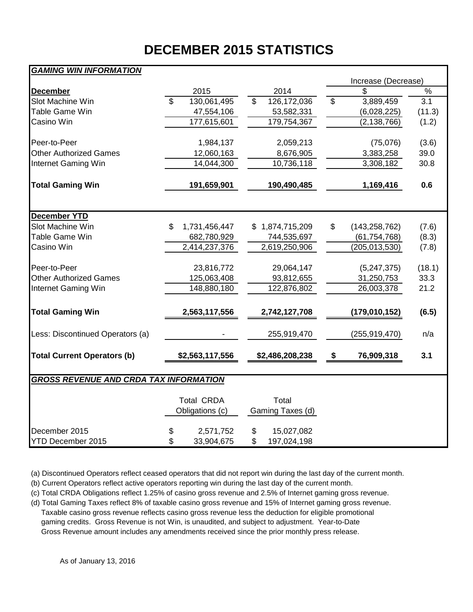# **DECEMBER 2015 STATISTICS**

# *GAMING WIN INFORMATION*

|                                               |                                      |                           | Increase (Decrease)   |               |
|-----------------------------------------------|--------------------------------------|---------------------------|-----------------------|---------------|
| <b>December</b>                               | 2015                                 | 2014                      | \$                    | $\frac{1}{2}$ |
| Slot Machine Win                              | \$<br>130,061,495                    | \$<br>126,172,036         | \$<br>3,889,459       | 3.1           |
| Table Game Win                                | 47,554,106                           | 53,582,331                | (6,028,225)           | (11.3)        |
| Casino Win                                    | 177,615,601                          | 179,754,367               | (2, 138, 766)         | (1.2)         |
| Peer-to-Peer                                  | 1,984,137                            | 2,059,213                 | (75,076)              | (3.6)         |
| <b>Other Authorized Games</b>                 | 12,060,163                           | 8,676,905                 | 3,383,258             | 39.0          |
| Internet Gaming Win                           | 14,044,300                           | 10,736,118                | 3,308,182             | 30.8          |
| <b>Total Gaming Win</b>                       | 191,659,901                          | 190,490,485               | 1,169,416             | 0.6           |
|                                               |                                      |                           |                       |               |
| <b>December YTD</b>                           |                                      |                           |                       |               |
| Slot Machine Win                              | \$<br>1,731,456,447                  | \$1,874,715,209           | \$<br>(143, 258, 762) | (7.6)         |
| Table Game Win                                | 682,780,929                          | 744,535,697               | (61, 754, 768)        | (8.3)         |
| Casino Win                                    | 2,414,237,376                        | 2,619,250,906             | (205, 013, 530)       | (7.8)         |
| Peer-to-Peer                                  | 23,816,772                           | 29,064,147                | (5,247,375)           | (18.1)        |
| <b>Other Authorized Games</b>                 | 125,063,408                          | 93,812,655                | 31,250,753            | 33.3          |
| Internet Gaming Win                           | 148,880,180                          | 122,876,802               | 26,003,378            | 21.2          |
| <b>Total Gaming Win</b>                       | 2,563,117,556                        | 2,742,127,708             | (179,010,152)         | (6.5)         |
| Less: Discontinued Operators (a)              |                                      | 255,919,470               | (255, 919, 470)       | n/a           |
| <b>Total Current Operators (b)</b>            | \$2,563,117,556                      | \$2,486,208,238           | \$<br>76,909,318      | 3.1           |
| <b>GROSS REVENUE AND CRDA TAX INFORMATION</b> |                                      |                           |                       |               |
|                                               |                                      |                           |                       |               |
|                                               | <b>Total CRDA</b><br>Obligations (c) | Total<br>Gaming Taxes (d) |                       |               |
| December 2015                                 | \$<br>2,571,752                      | \$<br>15,027,082          |                       |               |
| <b>YTD December 2015</b>                      | \$<br>33,904,675                     | \$<br>197,024,198         |                       |               |

(a) Discontinued Operators reflect ceased operators that did not report win during the last day of the current month.

(b) Current Operators reflect active operators reporting win during the last day of the current month.

(c) Total CRDA Obligations reflect 1.25% of casino gross revenue and 2.5% of Internet gaming gross revenue.

(d) Total Gaming Taxes reflect 8% of taxable casino gross revenue and 15% of Internet gaming gross revenue. Taxable casino gross revenue reflects casino gross revenue less the deduction for eligible promotional gaming credits. Gross Revenue is not Win, is unaudited, and subject to adjustment. Year-to-Date Gross Revenue amount includes any amendments received since the prior monthly press release.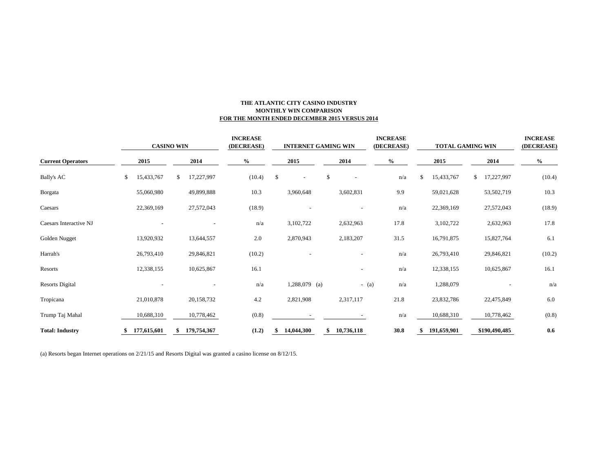### **THE ATLANTIC CITY CASINO INDUSTRY MONTHLY WIN COMPARISON FOR THE MONTH ENDED DECEMBER 2015 VERSUS 2014**

|                          | <b>CASINO WIN</b> |    |             |      | <b>INCREASE</b><br>(DECREASE) | <b>INTERNET GAMING WIN</b> |                 |      |                          |         | <b>INCREASE</b><br>(DECREASE) |      | <b>TOTAL GAMING WIN</b> | <b>INCREASE</b><br>(DECREASE) |               |        |
|--------------------------|-------------------|----|-------------|------|-------------------------------|----------------------------|-----------------|------|--------------------------|---------|-------------------------------|------|-------------------------|-------------------------------|---------------|--------|
| <b>Current Operators</b> | 2015              |    | 2014        | $\%$ | 2015                          |                            |                 | 2014 |                          | $\%$    |                               | 2015 |                         | 2014                          | $\%$          |        |
| <b>Bally's AC</b>        | \$<br>15,433,767  | \$ | 17,227,997  |      | (10.4)                        | \$                         |                 |      | \$                       |         | n/a                           | \$   | 15,433,767              | \$                            | 17,227,997    | (10.4) |
| <b>B</b> orgata          | 55,060,980        |    | 49,899,888  |      | 10.3                          |                            | 3,960,648       |      | 3,602,831                |         | 9.9                           |      | 59,021,628              |                               | 53,502,719    | 10.3   |
| Caesars                  | 22,369,169        |    | 27,572,043  |      | (18.9)                        |                            |                 |      | $\overline{\phantom{a}}$ |         | n/a                           |      | 22,369,169              |                               | 27,572,043    | (18.9) |
| Caesars Interactive NJ   |                   |    |             |      | n/a                           |                            | 3,102,722       |      | 2,632,963                |         | 17.8                          |      | 3,102,722               |                               | 2,632,963     | 17.8   |
| Golden Nugget            | 13,920,932        |    | 13,644,557  |      | 2.0                           |                            | 2,870,943       |      | 2,183,207                |         | 31.5                          |      | 16,791,875              |                               | 15,827,764    | 6.1    |
| Harrah's                 | 26,793,410        |    | 29,846,821  |      | (10.2)                        |                            |                 |      |                          |         | n/a                           |      | 26,793,410              |                               | 29,846,821    | (10.2) |
| Resorts                  | 12,338,155        |    | 10,625,867  |      | 16.1                          |                            |                 |      |                          |         | n/a                           |      | 12,338,155              |                               | 10,625,867    | 16.1   |
| <b>Resorts Digital</b>   |                   |    |             |      | n/a                           |                            | $1,288,079$ (a) |      |                          | $-$ (a) | n/a                           |      | 1,288,079               |                               |               | n/a    |
| Tropicana                | 21,010,878        |    | 20,158,732  |      | 4.2                           |                            | 2,821,908       |      | 2,317,117                |         | 21.8                          |      | 23,832,786              |                               | 22,475,849    | 6.0    |
| Trump Taj Mahal          | 10,688,310        |    | 10,778,462  |      | (0.8)                         |                            |                 |      |                          |         | n/a                           |      | 10,688,310              |                               | 10,778,462    | (0.8)  |
| <b>Total: Industry</b>   | 177,615,601       |    | 179,754,367 |      | (1.2)                         |                            | 14,044,300      |      | 10,736,118<br>\$         |         | 30.8                          |      | 191,659,901             |                               | \$190,490,485 | 0.6    |

(a) Resorts began Internet operations on 2/21/15 and Resorts Digital was granted a casino license on 8/12/15.